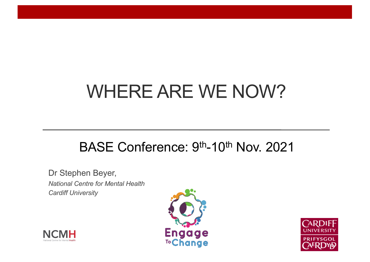# WHERE ARE WE NOW?

#### BASE Conference: 9<sup>th</sup>-10<sup>th</sup> Nov. 2021

Dr Stephen Beyer, *National Centre for Mental Health Cardiff University*





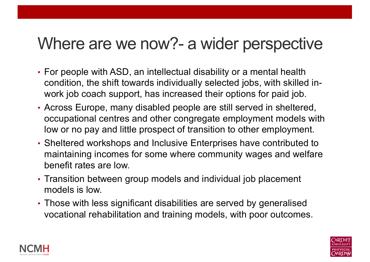### Where are we now?- a wider perspective

- For people with ASD, an intellectual disability or a mental health condition, the shift towards individually selected jobs, with skilled inwork job coach support, has increased their options for paid job.
- Across Europe, many disabled people are still served in sheltered, occupational centres and other congregate employment models with low or no pay and little prospect of transition to other employment.
- Sheltered workshops and Inclusive Enterprises have contributed to maintaining incomes for some where community wages and welfare benefit rates are low.
- Transition between group models and individual job placement models is low.
- Those with less significant disabilities are served by generalised vocational rehabilitation and training models, with poor outcomes.



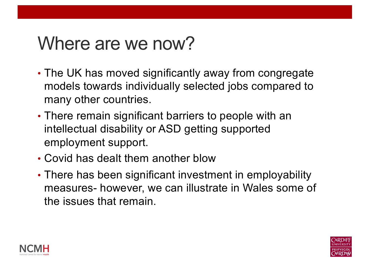### Where are we now?

- The UK has moved significantly away from congregate models towards individually selected jobs compared to many other countries.
- There remain significant barriers to people with an intellectual disability or ASD getting supported employment support.
- Covid has dealt them another blow
- There has been significant investment in employability measures- however, we can illustrate in Wales some of the issues that remain.



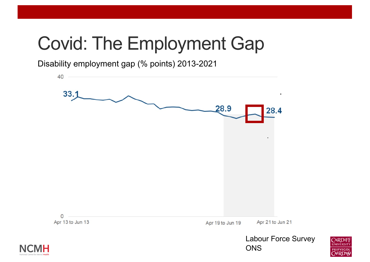# Covid: The Employment Gap

Disability employment gap (% points) 2013-2021





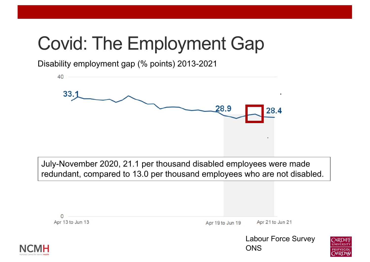# Covid: The Employment Gap

Disability employment gap (% points) 2013-2021



July-November 2020, 21.1 per thousand disabled employees were made redundant, compared to 13.0 per thousand employees who are not disabled.

| Н                |                  | <b>Labour Force Survey</b><br>ONS |  |
|------------------|------------------|-----------------------------------|--|
| Apr 13 to Jun 13 | Apr 19 to Jun 19 | Apr 21 to Jun 21                  |  |

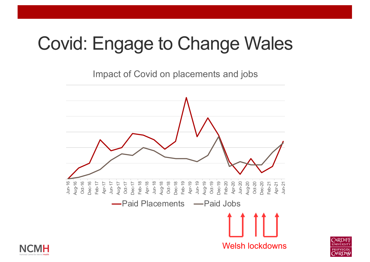# Covid: Engage to Change Wales

Impact of Covid on placements and jobs



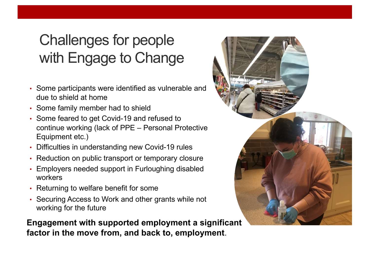### Challenges for people with Engage to Change

- Some participants were identified as vulnerable and due to shield at home
- Some family member had to shield
- Some feared to get Covid-19 and refused to continue working (lack of PPE – Personal Protective Equipment etc.)
- Difficulties in understanding new Covid-19 rules
- Reduction on public transport or temporary closure
- Employers needed support in Furloughing disabled workers
- Returning to welfare benefit for some
- Securing Access to Work and other grants while not working for the future

**Engagement with supported employment a significant factor in the move from, and back to, employment**.

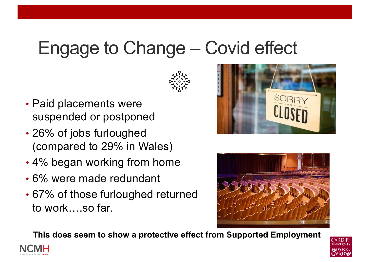## Engage to Change – Covid effect



- Paid placements were suspended or postponed
- 26% of jobs furloughed (compared to 29% in Wales)
- 4% began working from home
- 6% were made redundant
- 67% of those furloughed returned to work….so far.





**This does seem to show a protective effect from Supported Employment**



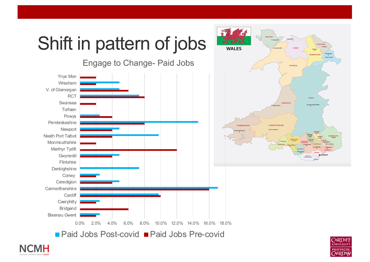



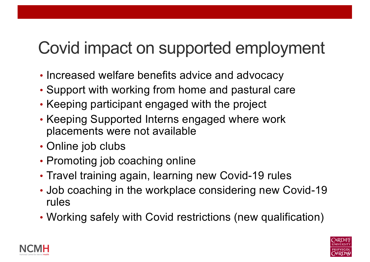### Covid impact on supported employment

- Increased welfare benefits advice and advocacy
- Support with working from home and pastural care
- Support with working from nome and pastura<br>• Keeping participant engaged with the project
- Keeping Supported Interns engaged where work placements were not available
- placements were<br>• Online job clubs
- Promoting job coaching online
- Travel training again, learning new Covid-19 rules
- Job coaching in the workplace considering new Covid-19 rules
- Working safely with Covid restrictions (new qualification)



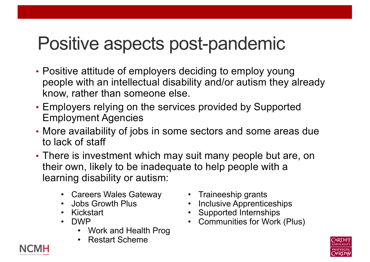## Positive aspects post-pandemic

- Positive attitude of employers deciding to employ young people with an intellectual disability and/or autism they already know, rather than someone else.
- Employers relying on the services provided by Supported Employment Agencies
- More availability of jobs in some sectors and some areas due to lack of staff
- There is investment which may suit many people but are, on their own, likely to be inadequate to help people with a learning disability or autism:
	- Careers Wales Gateway
	- Jobs Growth Plus
	- Kickstart
	- DWP
		- Work and Health Prog
		- Restart Scheme
- Traineeship grants
- Inclusive Apprenticeships
- Supported Internships
- Communities for Work (Plus)

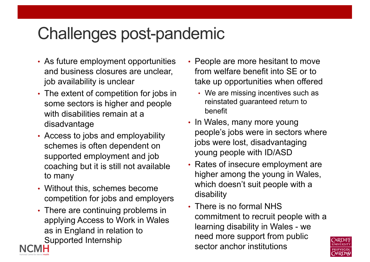### Challenges post-pandemic

- As future employment opportunities and business closures are unclear, job availability is unclear
- The extent of competition for jobs in some sectors is higher and people with disabilities remain at a disadvantage
- Access to jobs and employability schemes is often dependent on supported employment and job coaching but it is still not available to many
- Without this, schemes become competition for jobs and employers
- There are continuing problems in applying Access to Work in Wales as in England in relation to Supported Internship
- People are more hesitant to move from welfare benefit into SE or to take up opportunities when offered
	- We are missing incentives such as reinstated guaranteed return to benefit
- In Wales, many more young people's jobs were in sectors where jobs were lost, disadvantaging young people with ID/ASD
- Rates of insecure employment are higher among the young in Wales, which doesn't suit people with a disability
- There is no formal NHS commitment to recruit people with a learning disability in Wales - we need more support from public sector anchor institutions